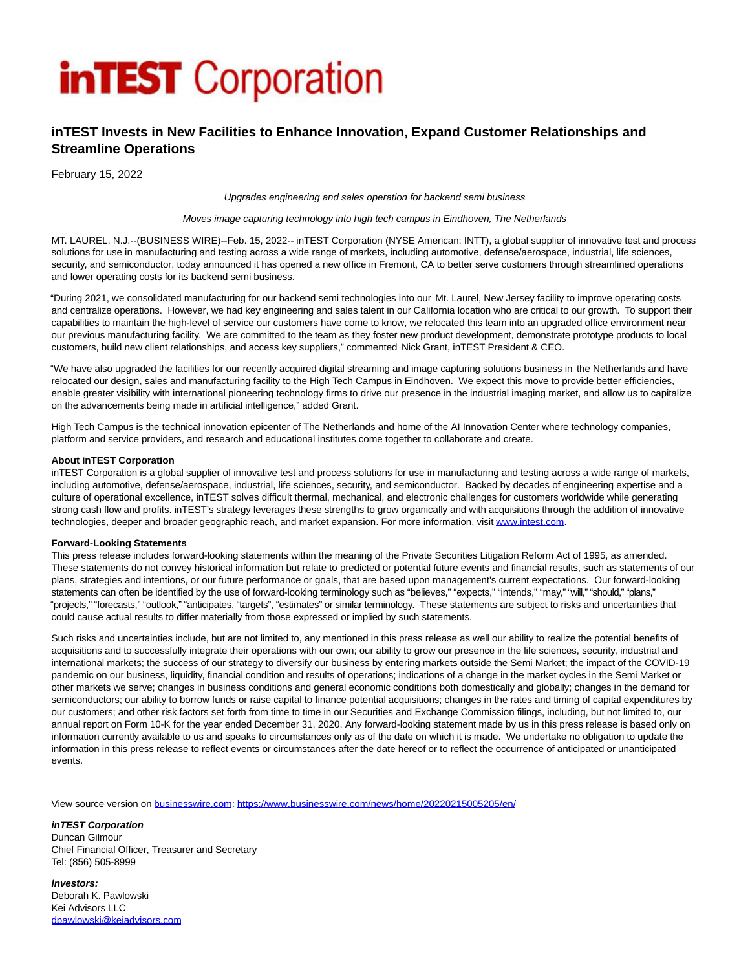# **inTEST** Corporation

## **inTEST Invests in New Facilities to Enhance Innovation, Expand Customer Relationships and Streamline Operations**

February 15, 2022

Upgrades engineering and sales operation for backend semi business

Moves image capturing technology into high tech campus in Eindhoven, The Netherlands

MT. LAUREL, N.J.--(BUSINESS WIRE)--Feb. 15, 2022-- inTEST Corporation (NYSE American: INTT), a global supplier of innovative test and process solutions for use in manufacturing and testing across a wide range of markets, including automotive, defense/aerospace, industrial, life sciences, security, and semiconductor, today announced it has opened a new office in Fremont, CA to better serve customers through streamlined operations and lower operating costs for its backend semi business.

"During 2021, we consolidated manufacturing for our backend semi technologies into our Mt. Laurel, New Jersey facility to improve operating costs and centralize operations. However, we had key engineering and sales talent in our California location who are critical to our growth. To support their capabilities to maintain the high-level of service our customers have come to know, we relocated this team into an upgraded office environment near our previous manufacturing facility. We are committed to the team as they foster new product development, demonstrate prototype products to local customers, build new client relationships, and access key suppliers," commented Nick Grant, inTEST President & CEO.

"We have also upgraded the facilities for our recently acquired digital streaming and image capturing solutions business in the Netherlands and have relocated our design, sales and manufacturing facility to the High Tech Campus in Eindhoven. We expect this move to provide better efficiencies, enable greater visibility with international pioneering technology firms to drive our presence in the industrial imaging market, and allow us to capitalize on the advancements being made in artificial intelligence," added Grant.

High Tech Campus is the technical innovation epicenter of The Netherlands and home of the AI Innovation Center where technology companies, platform and service providers, and research and educational institutes come together to collaborate and create.

### **About inTEST Corporation**

inTEST Corporation is a global supplier of innovative test and process solutions for use in manufacturing and testing across a wide range of markets, including automotive, defense/aerospace, industrial, life sciences, security, and semiconductor. Backed by decades of engineering expertise and a culture of operational excellence, inTEST solves difficult thermal, mechanical, and electronic challenges for customers worldwide while generating strong cash flow and profits. inTEST's strategy leverages these strengths to grow organically and with acquisitions through the addition of innovative technologies, deeper and broader geographic reach, and market expansion. For more information, visi[t www.intest.com.](https://cts.businesswire.com/ct/CT?id=smartlink&url=http%3A%2F%2Fwww.intest.com&esheet=52579082&newsitemid=20220215005205&lan=en-US&anchor=www.intest.com&index=1&md5=ba5146b628a7cde75acb40cbf9e9f166)

### **Forward-Looking Statements**

This press release includes forward-looking statements within the meaning of the Private Securities Litigation Reform Act of 1995, as amended. These statements do not convey historical information but relate to predicted or potential future events and financial results, such as statements of our plans, strategies and intentions, or our future performance or goals, that are based upon management's current expectations. Our forward-looking statements can often be identified by the use of forward-looking terminology such as "believes," "expects," "intends," "may," "will," "should," "plans," "projects," "forecasts," "outlook," "anticipates, "targets", "estimates" or similar terminology. These statements are subject to risks and uncertainties that could cause actual results to differ materially from those expressed or implied by such statements.

Such risks and uncertainties include, but are not limited to, any mentioned in this press release as well our ability to realize the potential benefits of acquisitions and to successfully integrate their operations with our own; our ability to grow our presence in the life sciences, security, industrial and international markets; the success of our strategy to diversify our business by entering markets outside the Semi Market; the impact of the COVID-19 pandemic on our business, liquidity, financial condition and results of operations; indications of a change in the market cycles in the Semi Market or other markets we serve; changes in business conditions and general economic conditions both domestically and globally; changes in the demand for semiconductors; our ability to borrow funds or raise capital to finance potential acquisitions; changes in the rates and timing of capital expenditures by our customers; and other risk factors set forth from time to time in our Securities and Exchange Commission filings, including, but not limited to, our annual report on Form 10-K for the year ended December 31, 2020. Any forward-looking statement made by us in this press release is based only on information currently available to us and speaks to circumstances only as of the date on which it is made. We undertake no obligation to update the information in this press release to reflect events or circumstances after the date hereof or to reflect the occurrence of anticipated or unanticipated events.

View source version on [businesswire.com:](http://businesswire.com/)<https://www.businesswire.com/news/home/20220215005205/en/>

#### **inTEST Corporation**

Duncan Gilmour Chief Financial Officer, Treasurer and Secretary Tel: (856) 505-8999

**Investors:** Deborah K. Pawlowski Kei Advisors LLC [dpawlowski@keiadvisors.com](mailto:dpawlowski@keiadvisors.com)